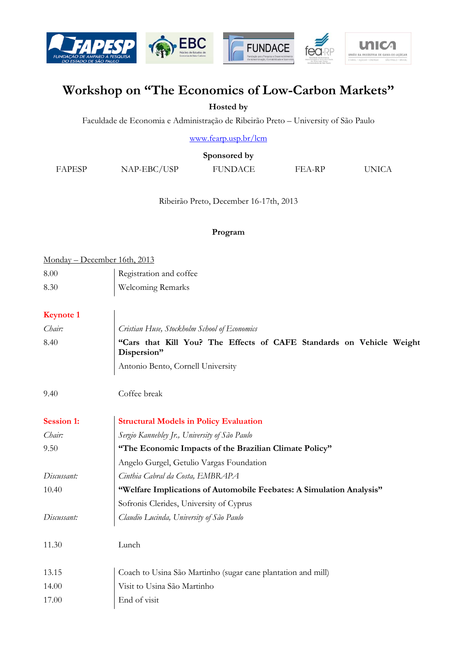

# **Workshop on "The Economics of Low-Carbon Markets"**

**Hosted by** 

Faculdade de Economia e Administração de Ribeirão Preto – University of São Paulo

[www.fearp.usp.br/lcm](http://www.fearp.usp.br/lcm)

**Sponsored by**

FAPESP NAP-EBC/USP FUNDACE FEA-RP UNICA

Ribeirão Preto, December 16-17th, 2013

### **Program**

| Monday - December 16th, 2013 |  |
|------------------------------|--|
|                              |  |

| 8.00 | Registration and coffee  |
|------|--------------------------|
| 8.30 | <b>Welcoming Remarks</b> |

## **Keynote 1**

| Cristian Huse, Stockholm School of Economics                                        |  |  |
|-------------------------------------------------------------------------------------|--|--|
| "Cars that Kill You? The Effects of CAFE Standards on Vehicle Weight<br>Dispersion" |  |  |
| Antonio Bento, Cornell University                                                   |  |  |
| Coffee break                                                                        |  |  |
| <b>Structural Models in Policy Evaluation</b>                                       |  |  |
| Sergio Kannebley Jr., University of São Paulo                                       |  |  |
| "The Economic Impacts of the Brazilian Climate Policy"                              |  |  |
| Angelo Gurgel, Getulio Vargas Foundation                                            |  |  |
| Cinthia Cabral da Costa, EMBRAPA                                                    |  |  |
| "Welfare Implications of Automobile Feebates: A Simulation Analysis"                |  |  |
| Sofronis Clerides, University of Cyprus                                             |  |  |
| Claudio Lucinda, University of São Paulo                                            |  |  |
| Lunch                                                                               |  |  |
| Coach to Usina São Martinho (sugar cane plantation and mill)                        |  |  |
| Visit to Usina São Martinho                                                         |  |  |
| End of visit                                                                        |  |  |
|                                                                                     |  |  |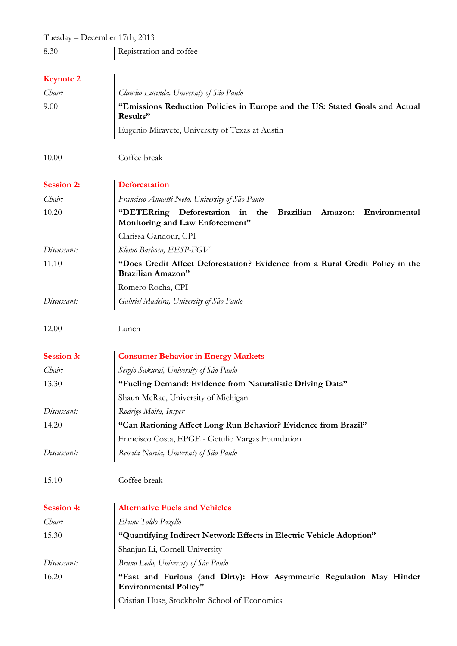| <u> Tuesday – December 17th, 2013</u> |                                                                                                                       |
|---------------------------------------|-----------------------------------------------------------------------------------------------------------------------|
| 8.30                                  | Registration and coffee                                                                                               |
| <b>Keynote 2</b>                      |                                                                                                                       |
| Chair:                                | Claudio Lucinda, University of São Paulo                                                                              |
| 9.00                                  | "Emissions Reduction Policies in Europe and the US: Stated Goals and Actual<br>Results"                               |
|                                       | Eugenio Miravete, University of Texas at Austin                                                                       |
| 10.00                                 | Coffee break                                                                                                          |
| <b>Session 2:</b>                     | <b>Deforestation</b>                                                                                                  |
| Chair:                                | Francisco Anuatti Neto, University of São Paulo                                                                       |
| 10.20                                 | "DETERring Deforestation in<br><b>Brazilian</b><br>the<br>Amazon:<br>Environmental<br>Monitoring and Law Enforcement" |
|                                       | Clarissa Gandour, CPI                                                                                                 |
| Discussant:                           | Klenio Barbosa, EESP-FGV                                                                                              |
| 11.10                                 | "Does Credit Affect Deforestation? Evidence from a Rural Credit Policy in the<br>Brazilian Amazon"                    |
|                                       | Romero Rocha, CPI                                                                                                     |
| Discussant:                           | Gabriel Madeira, University of São Paulo                                                                              |
| 12.00                                 | Lunch                                                                                                                 |
| <b>Session 3:</b>                     | <b>Consumer Behavior in Energy Markets</b>                                                                            |
| Chair:                                | Sergio Sakurai, University of São Paulo                                                                               |
| 13.30                                 | "Fueling Demand: Evidence from Naturalistic Driving Data"                                                             |
|                                       | Shaun McRae, University of Michigan                                                                                   |
| Discussant:                           | Rodrigo Moita, Insper                                                                                                 |
| 14.20                                 | "Can Rationing Affect Long Run Behavior? Evidence from Brazil"                                                        |
|                                       | Francisco Costa, EPGE - Getulio Vargas Foundation                                                                     |
| Discussant:                           | Renata Narita, University of São Paulo                                                                                |
| 15.10                                 | Coffee break                                                                                                          |
| <b>Session 4:</b>                     | <b>Alternative Fuels and Vehicles</b>                                                                                 |
| Chair:                                | Elaine Toldo Pazello                                                                                                  |
| 15.30                                 | "Quantifying Indirect Network Effects in Electric Vehicle Adoption"                                                   |
|                                       | Shanjun Li, Cornell University                                                                                        |
| Discussant:                           | Bruno Ledo, University of São Paulo                                                                                   |
| 16.20                                 | "Fast and Furious (and Dirty): How Asymmetric Regulation May Hinder<br><b>Environmental Policy"</b>                   |
|                                       | Cristian Huse, Stockholm School of Economics                                                                          |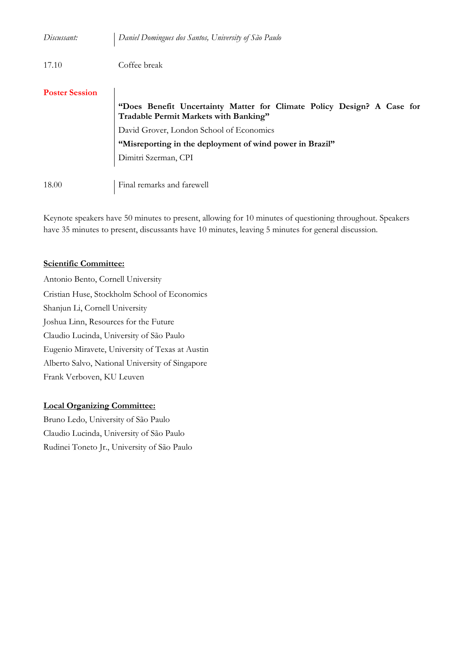| Discussant:           | Daniel Domingues dos Santos, University of São Paulo                                                                                                                                                                                            |
|-----------------------|-------------------------------------------------------------------------------------------------------------------------------------------------------------------------------------------------------------------------------------------------|
| 17.10                 | Coffee break                                                                                                                                                                                                                                    |
| <b>Poster Session</b> | "Does Benefit Uncertainty Matter for Climate Policy Design? A Case for<br>Tradable Permit Markets with Banking"<br>David Grover, London School of Economics<br>"Misreporting in the deployment of wind power in Brazil"<br>Dimitri Szerman, CPI |
| 18.00                 | Final remarks and farewell                                                                                                                                                                                                                      |

Keynote speakers have 50 minutes to present, allowing for 10 minutes of questioning throughout. Speakers have 35 minutes to present, discussants have 10 minutes, leaving 5 minutes for general discussion.

## **Scientific Committee:**

Antonio Bento, Cornell University Cristian Huse, Stockholm School of Economics Shanjun Li, Cornell University Joshua Linn, Resources for the Future Claudio Lucinda, University of São Paulo Eugenio Miravete, University of Texas at Austin Alberto Salvo, National University of Singapore Frank Verboven, KU Leuven

### **Local Organizing Committee:**

Bruno Ledo, University of São Paulo Claudio Lucinda, University of São Paulo Rudinei Toneto Jr., University of São Paulo